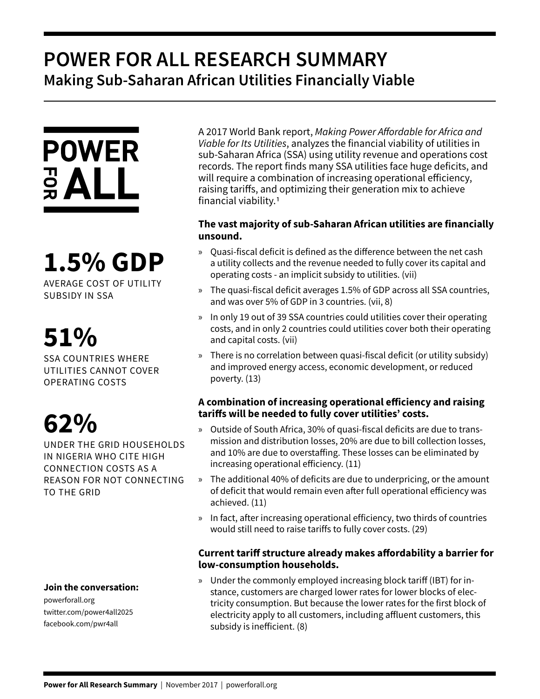## **POWER FOR ALL RESEARCH SUMMARY Making Sub-Saharan African Utilities Financially Viable**



**1.5% GDP** AVERAGE COST OF UTILITY

SUBSIDY IN SSA

# **51%**

SSA COUNTRIES WHERE UTILITIES CANNOT COVER OPERATING COSTS

## **62%**

UNDER THE GRID HOUSEHOLDS IN NIGERIA WHO CITE HIGH CONNECTION COSTS AS A REASON FOR NOT CONNECTING TO THE GRID

#### **Join the conversation:**

powerforall.org twitter.com/power4all2025 facebook.com/pwr4all

A 2017 World Bank report, *Making Power Affordable for Africa and Viable for Its Utilities*, analyzes the financial viability of utilities in sub-Saharan Africa (SSA) using utility revenue and operations cost records. The report finds many SSA utilities face huge deficits, and will require a combination of increasing operational efficiency, raising tariffs, and optimizing their generation mix to achieve financial viability.1

### **The vast majority of sub-Saharan African utilities are financially unsound.**

- » Quasi-fiscal deficit is defined as the difference between the net cash a utility collects and the revenue needed to fully cover its capital and operating costs - an implicit subsidy to utilities. (vii)
- » The quasi-fiscal deficit averages 1.5% of GDP across all SSA countries, and was over 5% of GDP in 3 countries. (vii, 8)
- » In only 19 out of 39 SSA countries could utilities cover their operating costs, and in only 2 countries could utilities cover both their operating and capital costs. (vii)
- » There is no correlation between quasi-fiscal deficit (or utility subsidy) and improved energy access, economic development, or reduced poverty. (13)

### **A combination of increasing operational efficiency and raising tariffs will be needed to fully cover utilities' costs.**

- » Outside of South Africa, 30% of quasi-fiscal deficits are due to transmission and distribution losses, 20% are due to bill collection losses, and 10% are due to overstaffing. These losses can be eliminated by increasing operational efficiency. (11)
- » The additional 40% of deficits are due to underpricing, or the amount of deficit that would remain even after full operational efficiency was achieved. (11)
- » In fact, after increasing operational efficiency, two thirds of countries would still need to raise tariffs to fully cover costs. (29)

### **Current tariff structure already makes affordability a barrier for low-consumption households.**

» Under the commonly employed increasing block tariff (IBT) for instance, customers are charged lower rates for lower blocks of electricity consumption. But because the lower rates for the first block of electricity apply to all customers, including affluent customers, this subsidy is inefficient. (8)